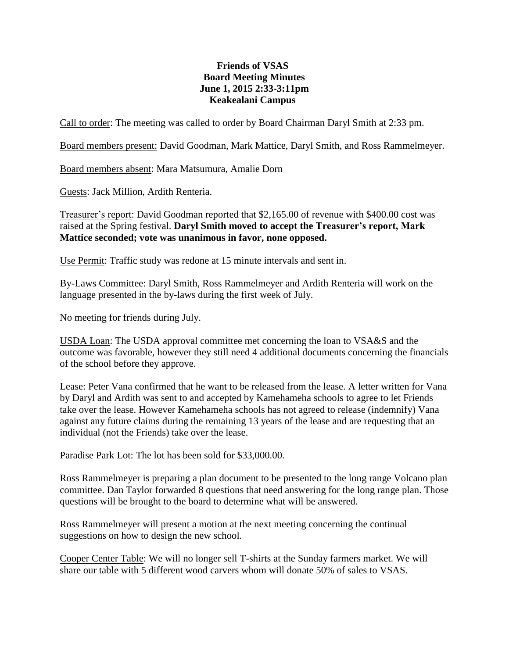## **Friends of VSAS Board Meeting Minutes June 1, 2015 2:33-3:11pm Keakealani Campus**

Call to order: The meeting was called to order by Board Chairman Daryl Smith at 2:33 pm.

Board members present: David Goodman, Mark Mattice, Daryl Smith, and Ross Rammelmeyer.

Board members absent: Mara Matsumura, Amalie Dorn

Guests: Jack Million, Ardith Renteria.

Treasurer's report: David Goodman reported that \$2,165.00 of revenue with \$400.00 cost was raised at the Spring festival. **Daryl Smith moved to accept the Treasurer's report, Mark Mattice seconded; vote was unanimous in favor, none opposed.**

Use Permit: Traffic study was redone at 15 minute intervals and sent in.

By-Laws Committee: Daryl Smith, Ross Rammelmeyer and Ardith Renteria will work on the language presented in the by-laws during the first week of July.

No meeting for friends during July.

USDA Loan: The USDA approval committee met concerning the loan to VSA&S and the outcome was favorable, however they still need 4 additional documents concerning the financials of the school before they approve.

Lease: Peter Vana confirmed that he want to be released from the lease. A letter written for Vana by Daryl and Ardith was sent to and accepted by Kamehameha schools to agree to let Friends take over the lease. However Kamehameha schools has not agreed to release (indemnify) Vana against any future claims during the remaining 13 years of the lease and are requesting that an individual (not the Friends) take over the lease.

Paradise Park Lot: The lot has been sold for \$33,000.00.

Ross Rammelmeyer is preparing a plan document to be presented to the long range Volcano plan committee. Dan Taylor forwarded 8 questions that need answering for the long range plan. Those questions will be brought to the board to determine what will be answered.

Ross Rammelmeyer will present a motion at the next meeting concerning the continual suggestions on how to design the new school.

Cooper Center Table: We will no longer sell T-shirts at the Sunday farmers market. We will share our table with 5 different wood carvers whom will donate 50% of sales to VSAS.